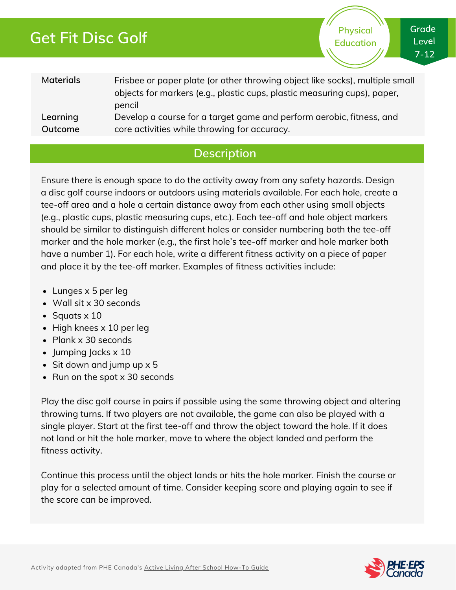# **Get Fit Disc Golf**

**Physical Education** **Grade Level 7-12**

| <b>Materials</b> | Frisbee or paper plate (or other throwing object like socks), multiple small<br>objects for markers (e.g., plastic cups, plastic measuring cups), paper,<br>pencil |
|------------------|--------------------------------------------------------------------------------------------------------------------------------------------------------------------|
| Learning         | Develop a course for a target game and perform aerobic, fitness, and                                                                                               |
| Outcome          | core activities while throwing for accuracy.                                                                                                                       |

### **Description**

Ensure there is enough space to do the activity away from any safety hazards. Design a disc golf course indoors or outdoors using materials available. For each hole, create a tee-off area and a hole a certain distance away from each other using small objects (e.g., plastic cups, plastic measuring cups, etc.). Each tee-off and hole object markers should be similar to distinguish different holes or consider numbering both the tee-off marker and the hole marker (e.g., the first hole's tee-off marker and hole marker both have a number 1). For each hole, write a different fitness activity on a piece of paper and place it by the tee-off marker. Examples of fitness activities include:

- Lunges x 5 per leg
- Wall sit x 30 seconds
- $\bullet$  Squats  $\times$  10
- $\bullet$  High knees x 10 per leg
- Plank x 30 seconds
- $\bullet$  Jumping Jacks  $\times$  10
- $\bullet$  Sit down and jump up x 5
- Run on the spot x 30 seconds

Play the disc golf course in pairs if possible using the same throwing object and altering throwing turns. If two players are not available, the game can also be played with a single player. Start at the first tee-off and throw the object toward the hole. If it does not land or hit the hole marker, move to where the object landed and perform the fitness activity.

Continue this process until the object lands or hits the hole marker. Finish the course or play for a selected amount of time. Consider keeping score and playing again to see if the score can be improved.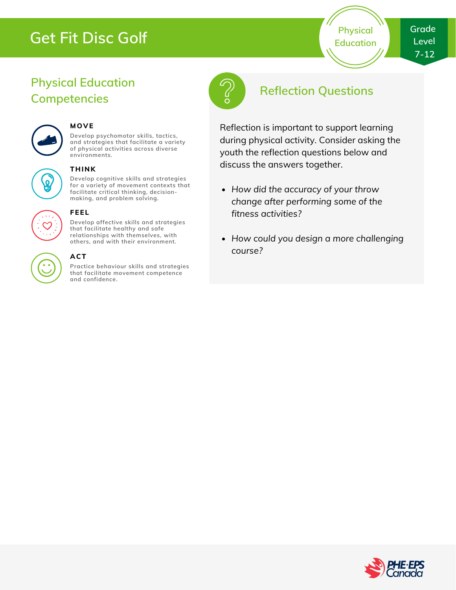# **Get Fit Disc Golf**

**Physical Education**

## **Physical Education Competencies**



#### **MOVE**

**Develop psychomotor skills, tactics, and strategies that facilitate a variety of physical activities across diverse environments.**

#### **THINK**

**Develop cognitive skills and strategies for a variety of movement contexts that facilitate critical thinking, decision making, and problem solving.**



### **Develop affective skills and strategies**

**FEEL**

**that facilitate healthy and safe relationships with themselves, with others, and with their environment.**

#### **ACT**

**Practice behaviour skills and strategies that facilitate movement competence and confidence.**



## **Reflection Questions**

Reflection is important to support learning during physical activity. Consider asking the youth the reflection questions below and discuss the answers together.

- *How did the accuracy of your throw change after performing some of the fitness activities?*
- *How could you design a more challenging course?*